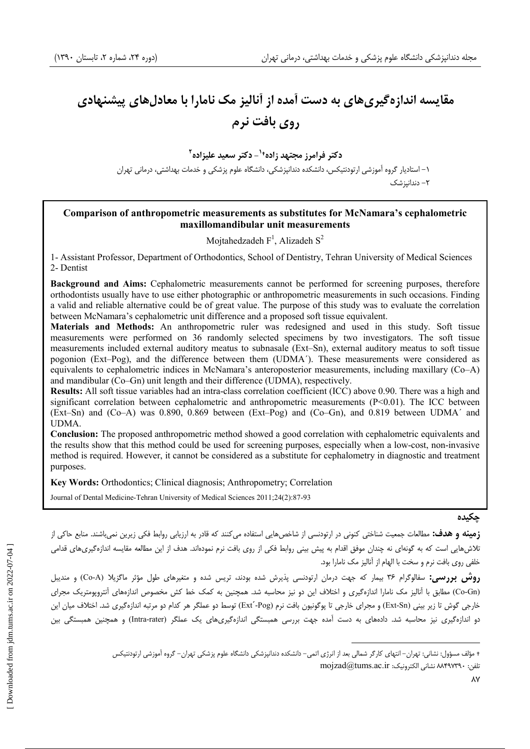# مقایسه اندازهگیریهای به دست آمده از آنالیز مک نامارا با معادلهای پیشنهادی **, وي بافت نرم**

**دکتر فرامرز مجتهد زاده†<sup>۱</sup>– دکتر سعید علیزاده<sup>۲</sup>** ۱– استادیار گروه آموزشی ارتودنتیکس، دانشکده دندانپزشکی، دانشگاه علوم پزشکی و خدمات بهداشتی، درمانی تهران ۲– دندانیز شک

### **Comparison of anthropometric measurements as substitutes for McNamara's cephalometric maxillomandibular unit measurements**

Mojtahedzadeh  $F<sup>1</sup>$ , Alizadeh  $S<sup>2</sup>$ 

1- Assistant Professor, Department of Orthodontics, School of Dentistry, Tehran University of Medical Sciences 2- Dentist

**Background and Aims:** Cephalometric measurements cannot be performed for screening purposes, therefore orthodontists usually have to use either photographic or anthropometric measurements in such occasions. Finding a valid and reliable alternative could be of great value. The purpose of this study was to evaluate the correlation between McNamara's cephalometric unit difference and a proposed soft tissue equivalent.

**Materials and Methods:** An anthropometric ruler was redesigned and used in this study. Soft tissue measurements were performed on 36 randomly selected specimens by two investigators. The soft tissue measurements included external auditory meatus to subnasale (Ext–Sn), external auditory meatus to soft tissue pogonion (Ext–Pog), and the difference between them (UDMA´). These measurements were considered as equivalents to cephalometric indices in McNamara's anteroposterior measurements, including maxillary (Co–A) and mandibular (Co–Gn) unit length and their difference (UDMA), respectively.

**Results:** All soft tissue variables had an intra-class correlation coefficient (ICC) above 0.90. There was a high and significant correlation between cephalometric and anthropometric measurements (P<0.01). The ICC between (Ext–Sn) and (Co–A) was 0.890, 0.869 between (Ext–Pog) and (Co–Gn), and 0.819 between UDMA´ and UDMA.

**Conclusion:** The proposed anthropometric method showed a good correlation with cephalometric equivalents and the results show that this method could be used for screening purposes, especially when a low-cost, non-invasive method is required. However, it cannot be considered as a substitute for cephalometry in diagnostic and treatment purposes.

**Key Words:** Orthodontics; Clinical diagnosis; Anthropometry; Correlation

Journal of Dental Medicine-Tehran University of Medical Sciences 2011;24(2):87-93

#### حكى*د*ە

**زمینه و هدف:** مطالعات جمعیت شناختی کنونی در ارتودنسی از شاخصهایی استفاده میکنند که قادر به ارزیابی روابط فکی زیرین نمیباشند. منابع حاکی از تلاشهایی است که به گونهای نه چندان موفق اقدام به پیش بینی روابط فکی از روی بافت نرم نمودهاند. هدف از این مطالعه مقایسه اندازهگیریهای قدامی خلفي روى بافت نرم و سخت با الهام از أناليز مک نامارا بود.

**روش بررسی:** سفالوگرام ۳۶ بیمار که جهت درمان ارتودنسی پذیرش شده بودند، تریس شده و متغیرهای طول مؤثر ماگزیلا (Co-A) و مندیبل (Co-Gn) مطابق با آنالیز مک نامارا اندازهگیری و اختلاف این دو نیز محاسبه شد. همچنین به کمک خط کش مخصوص اندازههای آنتروپومتریک مجرای خارجی گوش تا زیر بینی (Ext-Sn) و مجرای خارجی تا پوگونیون بافت نرم (Ext´-Pog) توسط دو عملگر هر کدام دو مرتبه اندازهگیری شد. اختلاف میان این دو اندازهگیری نیز محاسبه شد. دادههای به دست أمده جهت بررسی همبستگی اندازهگیریهای یک عملگر (Intra-rater) و همچنین همبستگی بین

<sup>+</sup> مؤلف مسؤول: نشانی: تهران– انتهای کارگر شمالی بعد از انرژی اتمی– دانشکده دندانپزشکی دانشگاه علوم پزشکی تهران– گروه آموزشی ارتودنتیکس  $\text{mo}$ izad@tums.ac.ir :تلفن: ٨٨۴٩٧٣٩٠  $\text{A}$ 89۲٩٠  $\cdot$  :تلفن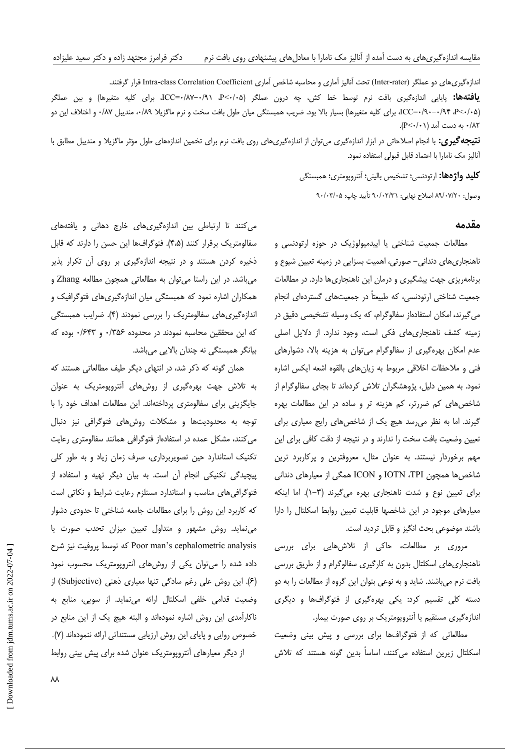اندازهگیریهای دو عملگر (Inter-rater) تحت آنالیز آماری و محاسبه شاخص آماری Intra-class Correlation Coefficient قرار گرفتند. **یافتهها:** پایایی اندازهگیری بافت نرم توسط خط کش، چه درون عملگر (P<۰/۰۵، P-۰/۸۷–ICC=۰/۸۷–۰/۹۱، برای کلیه متغیرها) و بین عملگر ICC=٠/٩٠-٠/٩۴ ،P<٠/٠٥)، براي كليه متغيرها) بسيار بالا بود. ضريب همبستگي ميان طول بافت سخت و نرم ماگزيلا ٠/٨٩، منديبل ٠/٨٧، و اختلاف اين دو ۰/۸۲ به دست آمد (P<۰/۰۱).

**نتیجه گیری:** با انجام اصلاحاتی در ابزار اندازهگیری میتوان از اندازهگیریهای روی بافت نرم برای تخمین اندازههای طول مؤثر ماگزیلا و مندیبل مطابق با آنالیز مک نامارا با اعتماد قابل قبولی استفاده نمود.

> **كليد واژهها:** ارتودنسي؛ تشخيص باليني؛ آنتروپومتري؛ همبستگي وصول: ٨٩/٠٧/٢٠ اصلاح نهايي: ٩٠/٠٢/٣١ تأييد چاپ: ٩٠/٠٣/٠٥

#### مقدمه

مطالعات جمعیت شناختی یا اپیدمیولوژیک در حوزه ارتودنسی و ناهنجاریهای دندانی– صورتی، اهمیت بسزایی در زمینه تعیین شیوع و برنامهریزی جهت پیشگیری و درمان این ناهنجاریها دارد. در مطالعات جمعیت شناختی ارتودنسی، که طبیعتاً در جمعیتهای گستردهای انجام می گیرند، امکان استفادهاز سفالوگرام، که یک وسیله تشخیصی دقیق در زمینه کشف ناهنجاری های فکی است، وجود ندارد. از دلایل اصلی عدم امکان بهرهگیری از سفالوگرام میتوان به هزینه بالا، دشوارهای فنی و ملاحظات اخلاقی مربوط به زیانهای بالقوه اشعه ایکس اشاره نمود. به همین دلیل، پژوهشگران تلاش کردهاند تا بجای سفالوگرام از شاخصهای کم ضررتر، کم هزینه تر و ساده در این مطالعات بهره گیرند. اما به نظر می رسد هیچ یک از شاخصهای رایج معیاری برای تعیین وضعیت بافت سخت را ندارند و در نتیجه از دقت کافی برای این مهم برخوردار نیستند. به عنوان مثال، معروفترین و پرکاربرد ترین شاخصها همچون IOTN ،TPI و ICON همگی از معیارهای دندانی برای تعیین نوع و شدت ناهنجاری بهره می گیرند (٣-١). اما اینکه معیارهای موجود در این شاخصها قابلیت تعیین روابط اسکلتال را دارا باشند موضوعي بحث انگيز و قابل ترديد است.

مروری بر مطالعات، حاکی از تلاشهایی برای بررسی ناهنجاریهای اسکلتال بدون به کارگیری سفالوگرام و از طریق بررسی بافت نرم میباشند. شاید و به نوعی بتوان این گروه از مطالعات را به دو دسته کلی تقسیم کرد: یکی بهرهگیری از فتوگرافها و دیگری اندازهگیری مستقیم یا آنتروپومتریک بر روی صورت بیمار.

مطالعاتی که از فتوگرافها برای بررسی و پیش بینی وضعیت اسکلتال زیرین استفاده میکنند، اساساً بدین گونه هستند که تلاش

می کنند تا ارتباطی بین اندازهگیری های خارج دهانی و یافتههای سفالومتريك برقرار كنند (۴،۵). فتوكرافها اين حسن را دارند كه قابل ذخیره کردن هستند و در نتیجه اندازهگیری بر روی آن تکرار پذیر میباشد. در این راستا میتوان به مطالعاتی همچون مطالعه Zhang و همکاران اشاره نمود که همبستگی میان اندازهگیریهای فتوگرافیک و اندازهگیریهای سفالومتریک را بررسی نمودند (۴). ضرایب همبستگی كه اين محققين محاسبه نمودند در محدوده ۲۵۶/۰ و ۶۴۳/۰ بوده كه بیانگر همبستگی نه چندان بالایی میباشد.

همان گونه که ذکر شد، در انتهای دیگر طیف مطالعاتی هستند که به تلاش جهت بهرهگیری از روشهای آنتروپومتریک به عنوان جایگزینی برای سفالومتری پرداختهاند. این مطالعات اهداف خود را با توجه به محدودیتها و مشکلات روشهای فتوگرافی نیز دنبال می کنند، مشکل عمده در استفادهاز فتوگرافی همانند سفالومتری رعایت تکنیک استاندارد حین تصویربرداری، صرف زمان زیاد و به طور کلی پیچیدگی تکنیکی انجام آن است. به بیان دیگر تهیه و استفاده از فتوگرافی های مناسب و استاندارد مستلزم رعایت شرایط و نکاتی است که کاربرد این روش را برای مطالعات جامعه شناختی تا حدودی دشوار می نماید. روش مشهور و متداول تعیین میزان تحدب صورت یا Poor man's cephalometric analysis كه توسط پروفيت نيز شرح داده شده را میتوان یکی از روشهای آنتروپومتریک محسوب نمود (۶). این روش علی رغم سادگی تنها معیاری ذهنی (Subjective) از وضعیت قدامی خلفی اسکلتال ارائه می نماید. از سویی، منابع به ناکارآمدی این روش اشاره نمودهاند و البته هیچ یک از این منابع در خصوص روایی و پایای این روش ارزیابی مستنداتی ارائه ننمودهاند (۷). از دیگر معیارهای آنتروپومتریک عنوان شده برای پیش بینی روابط

 $\lambda\lambda$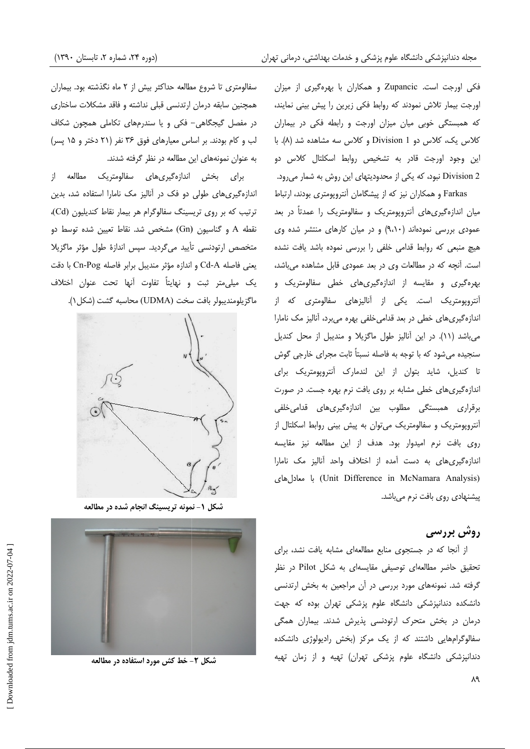فکی اورجت است. Zupancic و همکاران با بهرهگیری از میزان اورجت بیمار تلاش نمودند که روابط فکی زیرین را پیش بینی نمایند، که همبستگی خوبی میان میزان اورجت و رابطه فکی در بیماران کلاس یک، کلاس دو Division 1 و کلاس سه مشاهده شد (۸). با این وجود اورجت قادر به تشخیص روابط اسکلتال کلاس دو Division 2 نبود، که یکی از محدودیتهای این روش به شمار میرود.

Farkas و همکاران نیز که از پیشگامان آنتروپومتری بودند، ارتباط میان اندازهگیریهای آنتروپومتریک و سفالومتریک را عمدتاً در بعد عمودی بررسی نمودهاند (۹،۱۰) و در میان کارهای منتشر شده وی هیچ منبعی که روابط قدامی خلفی را بررسی نموده باشد یافت نشده است. آنچه که در مطالعات وی در بعد عمودی قابل مشاهده میباشد، بهرهگیری و مقایسه از اندازهگیریهای خطی سفالومتریک و آنتروپومتریک است. یکی از آنالیزهای سفالومتری که از اندازهگیریهای خطی در بعد قدامی خلفی بهره میبرد، آنالیز مک نامارا می باشد (١١). در این آنالیز طول ماگزیلا و مندیبل از محل کندیل سنجیده میشود که با توجه به فاصله نسبتاً ثابت مجرای خارجی گوش تا کندیل، شاید بتوان از این لندمارک آنتروپومتریک برای اندازهگیری های خطی مشابه بر روی بافت نرم بهره جست. در صورت برقراری همبستگی مطلوب بین اندازهگیریهای قدامیخلفی آنتروپومتریک و سفالومتریک میتوان به پیش بینی روابط اسکلتال از روی بافت نرم امیدوار بود. هدف از این مطالعه نیز مقایسه اندازهگیریهای به دست آمده از اختلاف واحد آنالیز مک نامارا (Unit Difference in McNamara Analysis) با معادل های پیشنهادی روی بافت نرم میباشد.

## روش بررسی

از آنجا که در جستجوی منابع مطالعهای مشابه یافت نشد، برای تحقیق حاضر مطالعهای توصیفی مقایسهای به شکل Pilot در نظر گرفته شد. نمونههای مورد بررسی در آن مراجعین به بخش ارتدنسی دانشکده دندانپزشکی دانشگاه علوم پزشکی تهران بوده که جهت درمان در بخش متحرک ارتودنسی پذیرش شدند. بیماران همگی سفالوگرامهایی داشتند که از یک مرکز (بخش رادیولوژی دانشکده دندانپزشکی دانشگاه علوم پزشکی تهران) تهیه و از زمان تهیه

سفالومتری تا شروع مطالعه حداکثر بیش از ۲ ماه نگذشته بود. بیماران همچنین سابقه درمان ارتدنسی قبلی نداشته و فاقد مشکلات ساختاری در مفصل گیجگاهی- فکی و یا سندرمهای تکاملی همچون شکاف لب و کام بودند. بر اساس معیارهای فوق ۳۶ نفر (۲۱ دختر و ۱۵ پسر) به عنوان نمونههای این مطالعه در نظر گرفته شدند.

برای بخش اندازهگیریهای سفالومتریک مطالعه از اندازهگیری های طولی دو فک در آنالیز مک نامارا استفاده شد، بدین ترتیب که بر روی تریسینگ سفالوگرام هر بیمار نقاط کندیلیون (Cd)، نقطه A و گناسیون (Gn) مشخص شد. نقاط تعیین شده توسط دو متخصص ارتودنسی تأیید میگردید. سپس اندازهٔ طول مؤثر ماگزیلا يعني فاصله Cd-A و اندازه مؤثر منديبل برابر فاصله Cn-Pog با دقت یک میلی متر ثبت و نهایتاً تفاوت آنها تحت عنوان اختلاف ماگزيلومنديبولر بافت سخت (UDMA) محاسبه گشت (شكل ۱).



شکل ۱- نمونه تریسینگ انجام شده در مطالعه



شکل ۲- خط کش مورد استفاده در مطالعه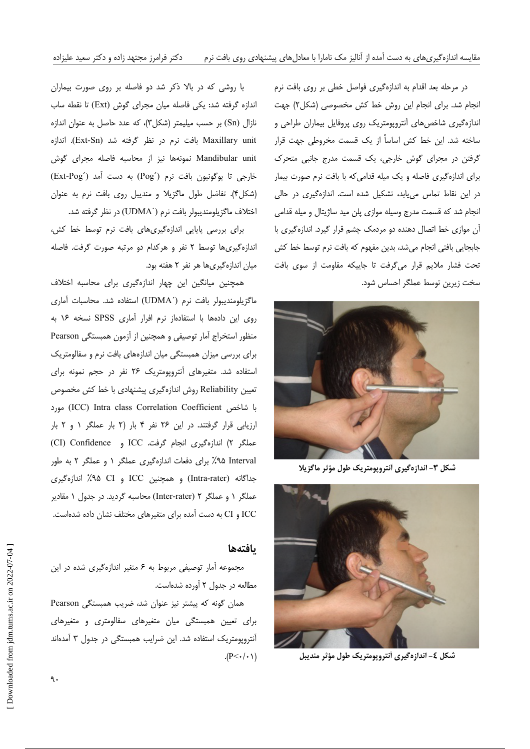در مرحله بعد اقدام به اندازهگیری فواصل خطی بر روی بافت نرم انجام شد. برای انجام این روش خط کش مخصوصی (شکل۲) جهت اندازهگیری شاخصهای آنتروپومتریک روی پروفایل بیماران طراحی و ساخته شد. این خط کش اساساً از یک قسمت مخروطی جهت قرار گرفتن در مجرای گوش خارجی، یک قسمت مدرج جانبی متحرک برای اندازهگیری فاصله و یک میله قدامی که با بافت نرم صورت بیمار در این نقاط تماس می یابد، تشکیل شده است. اندازهگیری در حالی انجام شد که قسمت مدرج وسیله موازی پلن مید ساژیتال و میله قدامی آن موازی خط اتصال دهنده دو مردمک چشم قرار گیرد. اندازهگیری با جابجایی بافتی انجام میشد، بدین مفهوم که بافت نرم توسط خط کش تحت فشار ملايم قرار مى گرفت تا جاييكه مقاومت از سوى بافت سخت زيرين توسط عملگر احساس شود.



شکل ۳- اندازهگیری آنتروپومتریک طول مؤثر ماگزیلا



شکل ٤- اندازهگیری أنتروپومتریک طول مؤثر مندیبل

با روشی که در بالا ذکر شد دو فاصله بر روی صورت بیماران اندازه گرفته شد: یکی فاصله میان مجرای گوش (Ext) تا نقطه ساب نازال (Sn) بر حسب میلیمتر (شکل ۳)، که عدد حاصل به عنوان اندازه Maxillary unit بافت نرم در نظر گرفته شد (Ext-Sn). اندازه Mandibular unit نمونهها نيز از محاسبه فاصله مجراى گوش خارجي تا پوگونيون بافت نرم (Pog) به دست آمد (Ext-Pog) (شكل۴). تفاضل طول ماكزيلا و منديبل روى بافت نرم به عنوان اختلاف ماگزیلومندیبولر بافت نرم (UDMA´) در نظر گرفته شد.

برای بررسی پایایی اندازهگیریهای بافت نرم توسط خط کش، اندازهگیری ها توسط ٢ نفر و هركدام دو مرتبه صورت گرفت. فاصله میان اندازهگیریها هر نفر ۲ هفته بود.

همچنین میانگین این چهار اندازهگیری برای محاسبه اختلاف ماگزیلومندیبولر بافت نرم (UDMA) استفاده شد. محاسبات آماری روى اين دادهها با استفادهاز نرم افرار آمارى SPSS نسخه ١۶ به منظور استخراج آمار توصیفی و همچنین از آزمون همبستگی Pearson برای بررسی میزان همبستگی میان اندازههای بافت نرم و سفالومتریک استفاده شد. متغیرهای آنتروپومتریک ۲۶ نفر در حجم نمونه برای تعیین Reliability روش اندازهگیری پیشنهادی با خط کش مخصوص با شاخص ICC) Intra class Correlation Coefficient) مورد ارزیابی قرار گرفتند. در این ۲۶ نفر ۴ بار (۲ بار عملگر ۱ و ۲ بار عملكر ٢) اندازهگيري انجام گرفت. ICC و CI) Confidence ۹۵ Interval) برای دفعات اندازهگیری عملگر ۱ و عملگر ۲ به طور جداگانه (Intra-rater) و همچنین ICC و A، X°٪ اندازهگیری عملگر ۱ و عملگر ۲ (Inter-rater) محاسبه گردید. در جدول ۱ مقادیر ICC و CI به دست آمده برای متغیرهای مختلف نشان داده شدهاست.

#### بافتهها

مجموعه آمار توصیفی مربوط به ۶ متغیر اندازهگیری شده در این مطالعه در جدول ٢ آورده شدهاست.

همان گونه که پیشتر نیز عنوان شد، ضریب همبستگی Pearson برای تعیین همبستگی میان متغیرهای سفالومتری و متغیرهای آنتروپومتریک استفاده شد. این ضرایب همبستگی در جدول ۳ آمدهاند  $(P<\cdot/\cdot)$ 

 $\mathcal{A}$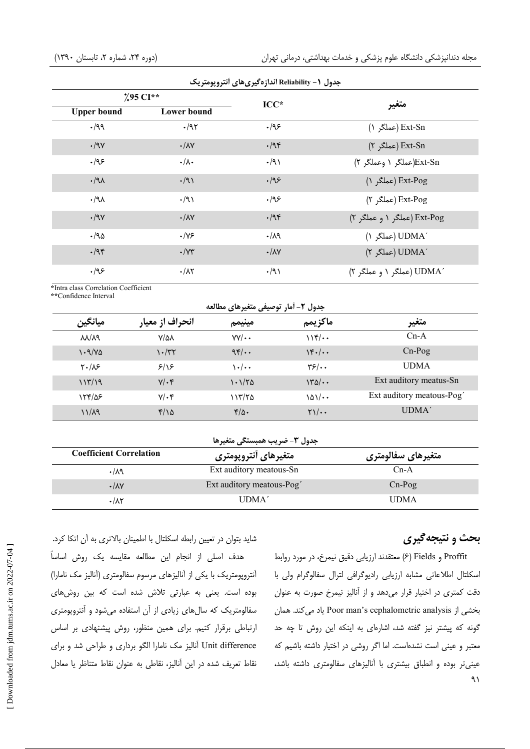| جدول (- Reliability اندازهگیریهای آنتروپومتریک |                      |                           |                             |  |  |
|------------------------------------------------|----------------------|---------------------------|-----------------------------|--|--|
| $295$ CI**                                     |                      | $\bf{ICC*}$               | متغير                       |  |  |
| <b>Upper bound</b>                             | Lower bound          |                           |                             |  |  |
| $\cdot$ /99                                    | $\cdot$ /95          | .195                      | (عملگر ۱) Ext-Sn            |  |  |
| $\cdot$ /9 $\gamma$                            | $\cdot/\lambda$ Y    | $\cdot$ /94               | (F اعملگر) Ext-Sn           |  |  |
| .199                                           | $\cdot/\lambda$      | $\cdot$ /9)               | Ext-Sn(عملگر ۱ وعملگر ۲)    |  |  |
| $\cdot$ /91                                    | $\cdot$ /9)          | .195                      | (عملگر ۱) Ext-Pog           |  |  |
| $\cdot$ /91                                    | $\cdot$ /9)          | .495                      | Ext-Pog (عملگر ۲)           |  |  |
| $\cdot$ /9 $\gamma$                            | $\cdot/\lambda$ Y    | $\cdot$ /94               | Ext-Pog (عملگر ۱ و عملگر ۲) |  |  |
| $\cdot$ /95                                    | $\cdot$ /Y۶          | .14                       | UDMA') (عملگو ۱)            |  |  |
| $\cdot$ /94                                    | $\cdot$ / $\gamma$ ۳ | $\cdot/\lambda\mathrm{V}$ | UDMA') (عملگر ٢)            |  |  |
| .195                                           | $\cdot/\lambda\tau$  | $\cdot$ /9)               | ′UDMA (عملگر ۱ و عملگر ۲)   |  |  |

\*Intra class Correlation Coefficient \*\*Confidence Interval

| جدول ٢- أمار توصيفي متغيرهاي مطالعه |                   |              |                                               |                          |  |
|-------------------------------------|-------------------|--------------|-----------------------------------------------|--------------------------|--|
| ميانگين                             | انحراف از معيار   | مينيمم       | ماكزيمم                                       | متغير                    |  |
| $\lambda\lambda/\lambda$ ٩          | $V/\Delta\lambda$ | $VV/\cdot$   | $11f/\cdots$                                  | $Cn-A$                   |  |
| $\cdot \frac{9}{2}$                 | ۱۰/۳۲             | 95/4         | $\frac{16}{16}$                               | $Cn-Pog$                 |  |
| $Y \cdot / \Lambda$                 | 9/18              | ۰۰/۰۰        | $\frac{1}{2}$                                 | <b>UDMA</b>              |  |
| 117/19                              | $Y/\cdot$ ۴       | ۱۰۱/۲۵       | $\frac{140}{110}$                             | Ext auditory meatus-Sn   |  |
| 154/08                              | $V/\cdot$ ۴       | ۱۱۳/۲۵       | $\lambda \Delta \sqrt{1 + \cdot \cdot \cdot}$ | Ext auditory meatous-Pog |  |
| $11/\lambda$ 9                      | $f/\lambda$       | $f/\Delta$ . | $\gamma$                                      | UDMA <sup>'</sup>        |  |

| جدول ٣- ضريب همبستگي متغيرها   |                          |                    |  |  |  |
|--------------------------------|--------------------------|--------------------|--|--|--|
| <b>Coefficient Correlation</b> | متغيرهاي أنتروپومتري     | متغيرهاي سفالومتري |  |  |  |
| .14                            | Ext auditory meatous-Sn  | $Cn-A$             |  |  |  |
| $\cdot/\lambda\mathrm{V}$      | Ext auditory meatous-Pog | $Cn-Pog$           |  |  |  |
| $\cdot/\lambda\tau$            | UDMA'                    | <b>UDMA</b>        |  |  |  |

بحث و نتیجهگیری

Proffit و Fields (۶) معتقدند ارزيابي دقيق نيمرخ، در مورد روابط اسكلتال اطلاعاتى مشابه ارزيابي راديوكرافى لترال سفالوكرام ولى با دقت کمتری در اختیار قرار میدهد و از آنالیز نیمرخ صورت به عنوان بخشی از Poor man's cephalometric analysis یاد می کند. همان گونه که پیشتر نیز گفته شد، اشارهای به اینکه این روش تا چه حد معتبر و عینی است نشدهاست. اما اگر روشی در اختیار داشته باشیم که عینیتر بوده و انطباق بیشتری با آنالیزهای سفالومتری داشته باشد،  $91$ 

شاید بتوان در تعیین رابطه اسکلتال با اطمینان بالاتری به آن اتکا کرد. هدف اصلی از انجام این مطالعه مقایسه یک روش اساساً آنتروپومتریک با یکی از آنالیزهای مرسوم سفالومتری (آنالیز مک نامارا) بوده است. یعنی به عبارتی تلاش شده است که بین روشهای سفالومتریک که سالهای زیادی از آن استفاده می شود و آنتروپومتری ارتباطی برقرار کنیم. برای همین منظور، روش پیشنهادی بر اساس Unit difference أناليز مک نامارا الگو برداري و طراحي شد و براي نقاط تعریف شده در این آنالیز، نقاطی به عنوان نقاط متناظر یا معادل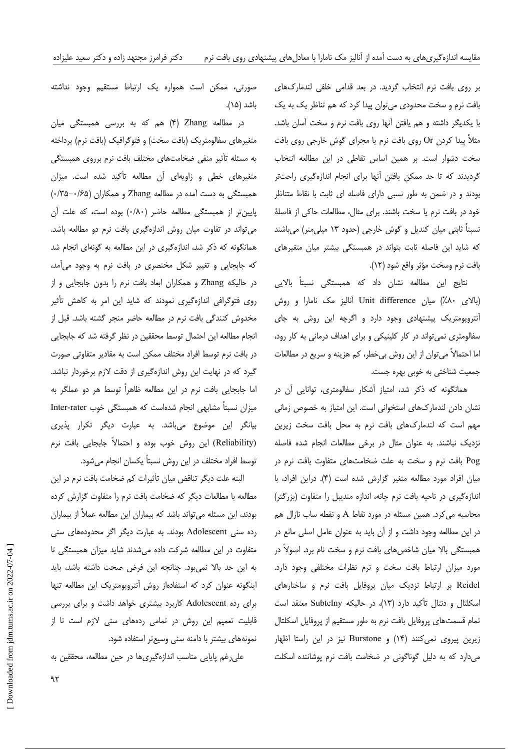بر روی بافت نرم انتخاب گردید. در بعد قدامی خلفی لندمارکهای بافت نرم و سخت محدودی می توان پیدا کرد که هم تناظر یک به یک با يكديگر داشته و هم يافتن أنها روى بافت نرم و سخت أسان باشد. مثلاً پیدا کردن Or روی بافت نرم یا مجرای گوش خارجی روی بافت سخت دشوار است. بر همین اساس نقاطی در این مطالعه انتخاب گردیدند که تا حد ممکن یافتن آنها برای انجام اندازهگیری راحتتر بودند و در ضمن به طور نسبی دارای فاصله ای ثابت با نقاط متناظر خود در بافت نرم یا سخت باشند. برای مثال، مطالعات حاکی از فاصلهٔ نسبتاً ثابتی میان کندیل و گوش خارجی (حدود ۱۳ میلی متر) میباشند که شاید این فاصله ثابت بتواند در همبستگی بیشتر میان متغیرهای بافت نرم وسخت مؤثر واقع شود (١٢).

نتایج این مطالعه نشان داد که همبستگی نسبتاً بالایی (بالای ۸۰٪) میان Unit difference آنالیز مک نامارا و روش آنتروپومتریک پیشنهادی وجود دارد و اگرچه این روش به جای سفالومتری نمی تواند در کار کلینیکی و برای اهداف درمانی به کار رود، اما احتمالاً میتوان از این روش بیخطر، کم هزینه و سریع در مطالعات جمعیت شناختی به خوبی بهره جست.

همانگونه که ذکر شد، امتیاز آشکار سفالومتری، توانایی آن در نشان دادن لندماركهاى استخوانى است. اين امتياز به خصوص زمانى مهم است كه لندماركهاى بافت نرم به محل بافت سخت زيرين نزدیک نباشند. به عنوان مثال در برخی مطالعات انجام شده فاصله Pog بافت نرم و سخت به علت ضخامتهای متفاوت بافت نرم در ميان افراد مورد مطالعه متغير كزارش شده است (۴). دراين افراد، با اندازهگیری در ناحیه بافت نرم چانه، اندازه مندیبل را متفاوت (بزرگتر) محاسبه می کرد. همین مسئله در مورد نقاط A و نقطه ساب نازال هم در این مطالعه وجود داشت و از آن باید به عنوان عامل اصلی مانع در همبستگی بالا میان شاخصهای بافت نرم و سخت نام برد. اصولاً در مورد میزان ارتباط بافت سخت و نرم نظرات مختلفی وجود دارد. Reidel بر ارتباط نزدیک میان پروفایل بافت نرم و ساختارهای اسکلتال و دنتال تأکید دارد (۱۳)، در حالیکه Subtelny معتقد است تمام قسمتهای پروفایل بافت نرم به طور مستقیم از پروفایل اسکلتال زیرین پیروی نمی کنند (۱۴) و Burstone نیز در این راستا اظهار می دارد که به دلیل گوناگونی در ضخامت بافت نرم یوشاننده اسکلت

صورتی، ممکن است همواره یک ارتباط مستقیم وجود نداشته باشد (۱۵).

در مطالعه Zhang (۴) هم که به بررسی همبستگی میان متغیرهای سفالومتریک (بافت سخت) و فتوگرافیک (بافت نرم) پرداخته به مسئله تأثیر منفی ضخامتهای مختلف بافت نرم برروی همبستگی متغیرهای خطی و زاویهای آن مطالعه تأکید شده است. میزان همبستگی به دست آمده در مطالعه Zhang و همکاران (۰/۳۵–۰/۳۵) پایین تر از همبستگی مطالعه حاضر (۰/۸۰) بوده است، که علت آن می تواند در تفاوت میان روش اندازهگیری بافت نرم دو مطالعه باشد. همانگونه که ذکر شد، اندازهگیری در این مطالعه به گونهای انجام شد که جابجایی و تغییر شکل مختصری در بافت نرم به وجود میآمد، در حالیکه Zhang و همکاران ابعاد بافت نرم را بدون جابجایی و از روی فتوگرافی اندازهگیری نمودند که شاید این امر به کاهش تأثیر مخدوش كنندگی بافت نرم در مطالعه حاضر منجر گشته باشد. قبل از انجام مطالعه این احتمال توسط محققین در نظر گرفته شد که جابجایی در بافت نرم توسط افراد مختلف ممكن است به مقادير متفاوتي صورت گیرد که در نهایت این روش اندازهگیری از دقت لازم برخوردار نباشد. اما جابجایی بافت نرم در این مطالعه ظاهراً توسط هر دو عملگر به میزان نسبتاً مشابهی انجام شدهاست که همبستگی خوب Inter-rater بیانگر این موضوع میباشد. به عبارت دیگر تکرار پذیری (Reliability) این روش خوب بوده و احتمالاً جابجایی بافت نرم توسط افراد مختلف در این روش نسبتاً یکسان انجام میشود.

البته علت دیگر تناقض میان تأثیرات کم ضخامت بافت نرم در این مطالعه با مطالعات دیگر که ضخامت بافت نرم را متفاوت گزارش کرده بودند، این مسئله میتواند باشد که بیماران این مطالعه عملاً از بیماران رده سنی Adolescent بودند. به عبارت دیگر اگر محدودههای سنی متفاوت در این مطالعه شرکت داده می شدند شاید میزان همبستگی تا به این حد بالا نمیبود. چنانچه این فرض صحت داشته باشد، باید اینگونه عنوان کرد که استفادهاز روش آنتروپومتریک این مطالعه تنها برای رده Adolescent کاربرد بیشتری خواهد داشت و برای بررسی قابلیت تعمیم این روش در تمامی ردههای سنی لازم است تا از نمونههای بیشتر با دامنه سنی وسیعتر استفاده شود.

على رغم پايايى مناسب اندازهگيرىها در حين مطالعه، محققين به

 $95$